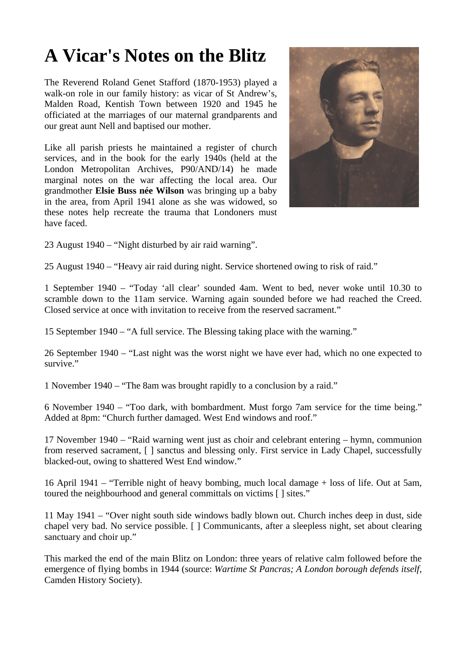## **A Vicar's Notes on the Blitz**

The Reverend Roland Genet Stafford (1870-1953) played a walk-on role in our family history: as vicar of St Andrew's, Malden Road, Kentish Town between 1920 and 1945 he officiated at the marriages of our maternal grandparents and our great aunt Nell and baptised our mother.

Like all parish priests he maintained a register of church services, and in the book for the early 1940s (held at the London Metropolitan Archives, P90/AND/14) he made marginal notes on the war affecting the local area. Our grandmother **Elsie Buss née Wilson** was bringing up a baby in the area, from April 1941 alone as she was widowed, so these notes help recreate the trauma that Londoners must have faced.



23 August 1940 – "Night disturbed by air raid warning".

25 August 1940 – "Heavy air raid during night. Service shortened owing to risk of raid."

1 September 1940 – "Today 'all clear' sounded 4am. Went to bed, never woke until 10.30 to scramble down to the 11am service. Warning again sounded before we had reached the Creed. Closed service at once with invitation to receive from the reserved sacrament."

15 September 1940 – "A full service. The Blessing taking place with the warning."

26 September 1940 – "Last night was the worst night we have ever had, which no one expected to survive."

1 November 1940 – "The 8am was brought rapidly to a conclusion by a raid."

6 November 1940 – "Too dark, with bombardment. Must forgo 7am service for the time being." Added at 8pm: "Church further damaged. West End windows and roof."

17 November 1940 – "Raid warning went just as choir and celebrant entering – hymn, communion from reserved sacrament, [ ] sanctus and blessing only. First service in Lady Chapel, successfully blacked-out, owing to shattered West End window."

16 April 1941 – "Terrible night of heavy bombing, much local damage + loss of life. Out at 5am, toured the neighbourhood and general committals on victims [ ] sites."

11 May 1941 – "Over night south side windows badly blown out. Church inches deep in dust, side chapel very bad. No service possible. [ ] Communicants, after a sleepless night, set about clearing sanctuary and choir up."

This marked the end of the main Blitz on London: three years of relative calm followed before the emergence of flying bombs in 1944 (source: *Wartime St Pancras; A London borough defends itself*, Camden History Society).